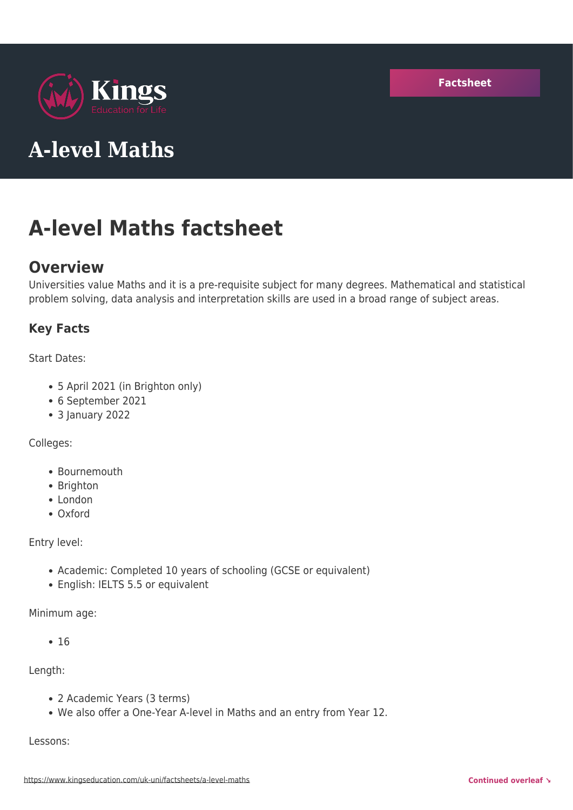



# **A-level Maths**

# **A-level Maths factsheet**

# **Overview**

Universities value Maths and it is a pre-requisite subject for many degrees. Mathematical and statistical problem solving, data analysis and interpretation skills are used in a broad range of subject areas.

# **Key Facts**

Start Dates:

- 5 April 2021 (in Brighton only)
- 6 September 2021
- 3 January 2022

Colleges:

- Bournemouth
- Brighton
- London
- Oxford

Entry level:

- Academic: Completed 10 years of schooling (GCSE or equivalent)
- English: IELTS 5.5 or equivalent

Minimum age:

 $• 16$ 

Length:

- 2 Academic Years (3 terms)
- We also offer a One-Year A-level in Maths and an entry from Year 12.

Lessons: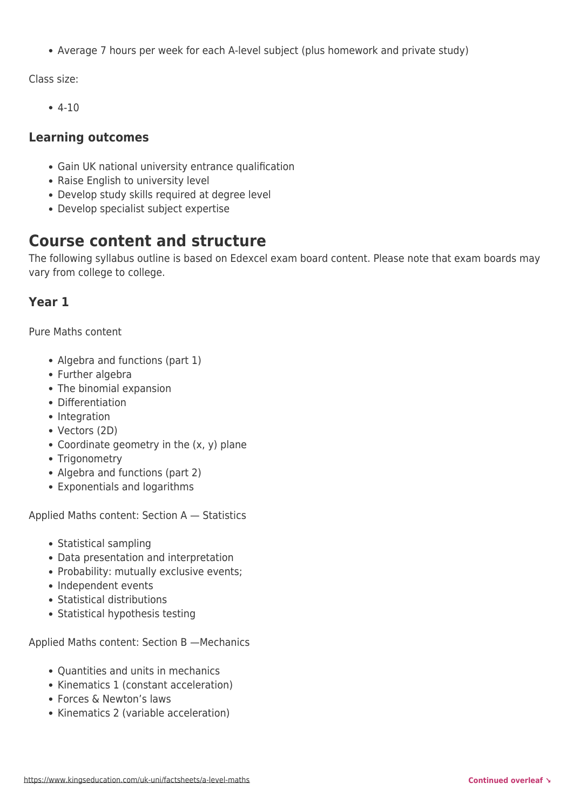Average 7 hours per week for each A-level subject (plus homework and private study)

Class size:

 $-4-10$ 

# **Learning outcomes**

- Gain UK national university entrance qualification
- Raise English to university level
- Develop study skills required at degree level
- Develop specialist subject expertise

# **Course content and structure**

The following syllabus outline is based on Edexcel exam board content. Please note that exam boards may vary from college to college.

# **Year 1**

Pure Maths content

- Algebra and functions (part 1)
- Further algebra
- The binomial expansion
- Differentiation
- Integration
- Vectors (2D)
- Coordinate geometry in the (x, y) plane
- Trigonometry
- Algebra and functions (part 2)
- Exponentials and logarithms

Applied Maths content: Section A — Statistics

- Statistical sampling
- Data presentation and interpretation
- Probability: mutually exclusive events;
- Independent events
- Statistical distributions
- Statistical hypothesis testing

Applied Maths content: Section B —Mechanics

- Ouantities and units in mechanics
- Kinematics 1 (constant acceleration)
- Forces & Newton's laws
- Kinematics 2 (variable acceleration)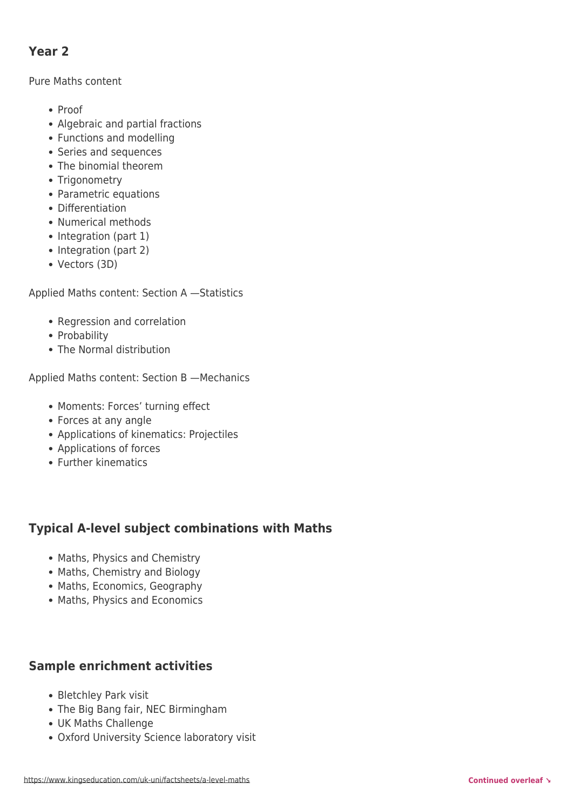# **Year 2**

### Pure Maths content

- Proof
- Algebraic and partial fractions
- Functions and modelling
- Series and sequences
- The binomial theorem
- Trigonometry
- Parametric equations
- Differentiation
- Numerical methods
- Integration (part 1)
- Integration (part 2)
- Vectors (3D)

Applied Maths content: Section A —Statistics

- Regression and correlation
- Probability
- The Normal distribution

Applied Maths content: Section B —Mechanics

- Moments: Forces' turning effect
- Forces at any angle
- Applications of kinematics: Projectiles
- Applications of forces
- Further kinematics

# **Typical A-level subject combinations with Maths**

- Maths, Physics and Chemistry
- Maths, Chemistry and Biology
- Maths, Economics, Geography
- Maths, Physics and Economics

# **Sample enrichment activities**

- Bletchley Park visit
- The Big Bang fair, NEC Birmingham
- UK Maths Challenge
- Oxford University Science laboratory visit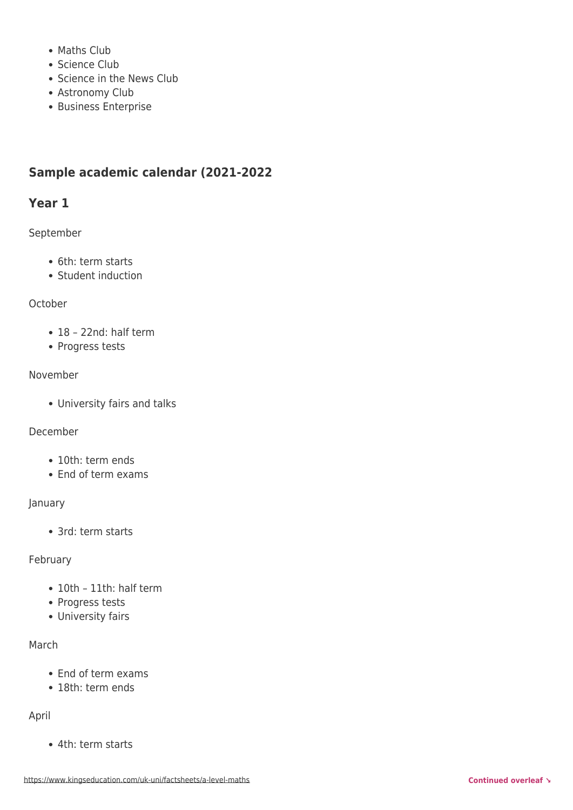- Maths Club
- Science Club
- Science in the News Club
- Astronomy Club
- Business Enterprise

# **Sample academic calendar (2021-2022**

# **Year 1**

September

- 6th: term starts
- Student induction

### **October**

- 18 22nd: half term
- Progress tests

### November

University fairs and talks

#### December

- 10th: term ends
- End of term exams

#### January

• 3rd: term starts

#### February

- 10th 11th: half term
- Progress tests
- University fairs

## March

- End of term exams
- 18th: term ends

#### April

4th: term starts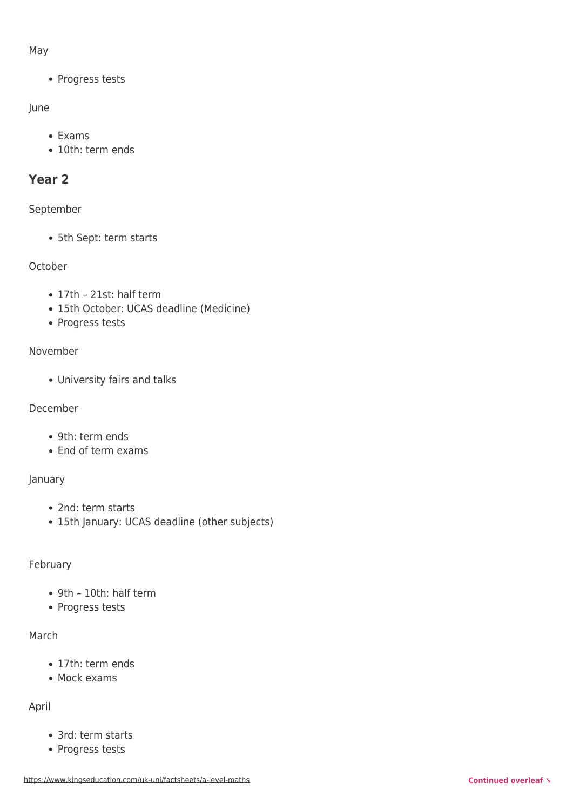### May

• Progress tests

# June

- Exams
- 10th: term ends

# **Year 2**

# September

5th Sept: term starts

# October

- 17th 21st: half term
- 15th October: UCAS deadline (Medicine)
- Progress tests

# November

University fairs and talks

# December

- 9th: term ends
- End of term exams

# January

- 2nd: term starts
- 15th January: UCAS deadline (other subjects)

# February

- 9th 10th: half term
- Progress tests

# March

- 17th: term ends
- Mock exams

# April

- 3rd: term starts
- Progress tests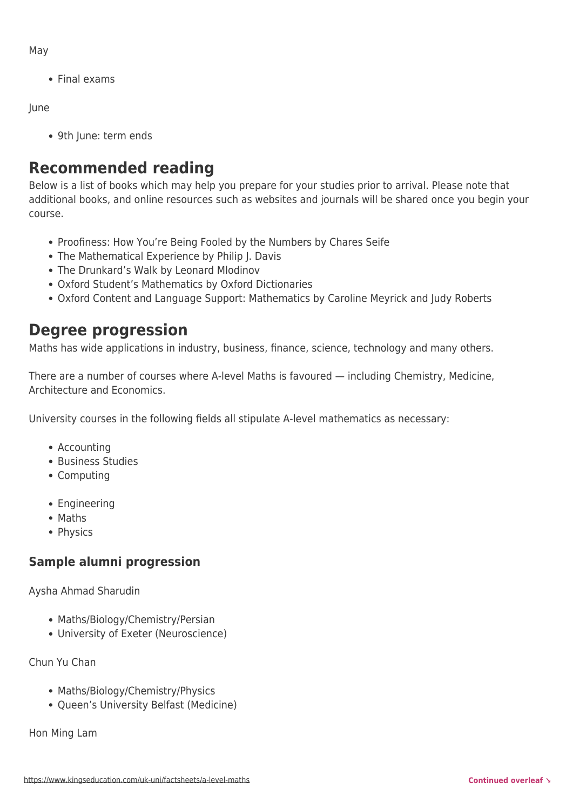May

Final exams

June

9th June: term ends

# **Recommended reading**

Below is a list of books which may help you prepare for your studies prior to arrival. Please note that additional books, and online resources such as websites and journals will be shared once you begin your course.

- Proofiness: How You're Being Fooled by the Numbers by Chares Seife
- The Mathematical Experience by Philip J. Davis
- The Drunkard's Walk by Leonard Mlodinov
- Oxford Student's Mathematics by Oxford Dictionaries
- Oxford Content and Language Support: Mathematics by Caroline Meyrick and Judy Roberts

# **Degree progression**

Maths has wide applications in industry, business, finance, science, technology and many others.

There are a number of courses where A-level Maths is favoured — including Chemistry, Medicine, Architecture and Economics.

University courses in the following fields all stipulate A-level mathematics as necessary:

- Accounting
- Business Studies
- Computing
- Engineering
- Maths
- Physics

# **Sample alumni progression**

Aysha Ahmad Sharudin

- Maths/Biology/Chemistry/Persian
- University of Exeter (Neuroscience)

Chun Yu Chan

- Maths/Biology/Chemistry/Physics
- Oueen's University Belfast (Medicine)

Hon Ming Lam